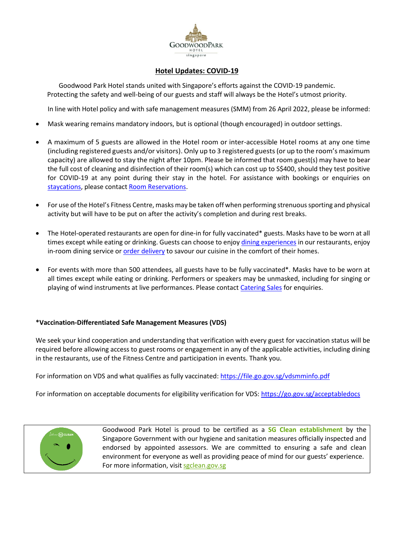

## **Hotel Updates: COVID-19**

Goodwood Park Hotel stands united with Singapore's efforts against the COVID-19 pandemic. Protecting the safety and well-being of our guests and staff will always be the Hotel's utmost priority.

In line with Hotel policy and with safe management measures (SMM) from 26 April 2022, please be informed:

- Mask wearing remains mandatory indoors, but is optional (though encouraged) in outdoor settings.
- A maximum of 5 guests are allowed in the Hotel room or inter-accessible Hotel rooms at any one time (including registered guests and/or visitors). Only up to 3 registered guests (or up to the room's maximum capacity) are allowed to stay the night after 10pm. Please be informed that room guest(s) may have to bear the full cost of cleaning and disinfection of their room(s) which can cost up to S\$400, should they test positive for COVID-19 at any point during their stay in the hotel. For assistance with bookings or enquiries on [staycations,](https://www.goodwoodparkhotel.com/promotions) please contact [Room Reservations.](mailto:rmresv@goodwoodparkhotel.com)
- For use of the Hotel's Fitness Centre, masks may be taken off when performing strenuous sporting and physical activity but will have to be put on after the activity's completion and during rest breaks.
- The Hotel-operated restaurants are open for dine-in for fully vaccinated\* guests. Masks have to be worn at all times except while eating or drinking. Guests can choose to enjo[y dining experiences](https://www.goodwoodparkhotel.com/dining) in our restaurants, enjoy in-room dining service or [order delivery](https://www.goodwoodparkhotel.com/promotions/food-takeaway-and-delivery-service) to savour our cuisine in the comfort of their homes.
- For events with more than 500 attendees, all guests have to be fully vaccinated\*. Masks have to be worn at all times except while eating or drinking. Performers or speakers may be unmasked, including for singing or playing of wind instruments at live performances. Please contact [Catering Sales](mailto:banquet@goodwoodparkhotel.com) for enquiries.

## **\*Vaccination-Differentiated Safe Management Measures (VDS)**

We seek your kind cooperation and understanding that verification with every guest for vaccination status will be required before allowing access to guest rooms or engagement in any of the applicable activities, including dining in the restaurants, use of the Fitness Centre and participation in events. Thank you.

For information on VDS and what qualifies as fully vaccinated:<https://file.go.gov.sg/vdsmminfo.pdf>

For information on acceptable documents for eligibility verification for VDS[: https://go.gov.sg/acceptabledocs](https://go.gov.sg/acceptabledocs)



Goodwood Park Hotel is proud to be certified as a **SG Clean establishment** by the Singapore Government with our hygiene and sanitation measures officially inspected and endorsed by appointed assessors. We are committed to ensuring a safe and clean environment for everyone as well as providing peace of mind for our guests' experience. For more information, visit [sgclean.gov.sg](https://sgclean.gov.sg/)